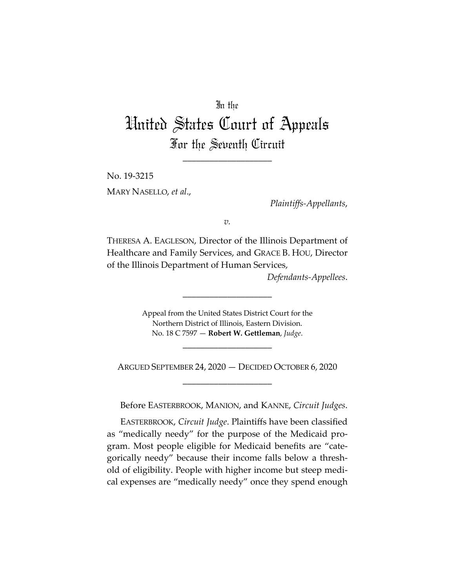## In the

## United States Court of Appeals For the Seventh Circuit

\_\_\_\_\_\_\_\_\_\_\_\_\_\_\_\_\_\_\_\_

No. 19-3215 MARY NASELLO, *et al*.,

*Plaintiffs-Appellants*,

*v.*

THERESA A. EAGLESON, Director of the Illinois Department of Healthcare and Family Services, and GRACE B. HOU, Director of the Illinois Department of Human Services,

*Defendants-Appellees*.

Appeal from the United States District Court for the Northern District of Illinois, Eastern Division. No. 18 C 7597 — **Robert W. Gettleman**, *Judge*.

\_\_\_\_\_\_\_\_\_\_\_\_\_\_\_\_\_\_\_\_

\_\_\_\_\_\_\_\_\_\_\_\_\_\_\_\_\_\_\_\_

ARGUED SEPTEMBER 24, 2020 — DECIDED OCTOBER 6, 2020 \_\_\_\_\_\_\_\_\_\_\_\_\_\_\_\_\_\_\_\_

Before EASTERBROOK, MANION, and KANNE, *Circuit Judges*.

EASTERBROOK, *Circuit Judge*. Plaintiffs have been classified as "medically needy" for the purpose of the Medicaid program. Most people eligible for Medicaid benefits are "categorically needy" because their income falls below a threshold of eligibility. People with higher income but steep medical expenses are "medically needy" once they spend enough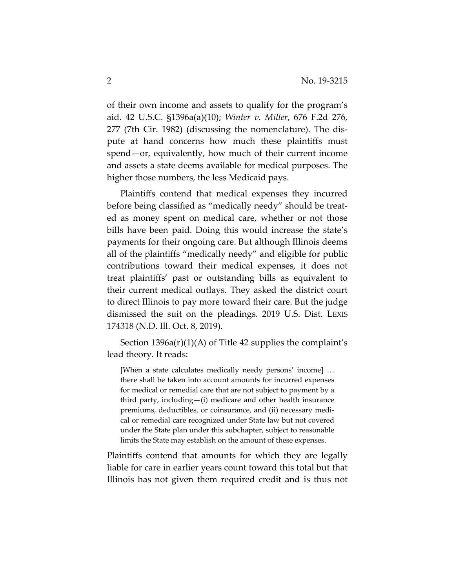of their own income and assets to qualify for the program's aid. 42 U.S.C. §1396a(a)(10); *Winter v. Miller*, 676 F.2d 276, 277 (7th Cir. 1982) (discussing the nomenclature). The dispute at hand concerns how much these plaintiffs must spend—or, equivalently, how much of their current income and assets a state deems available for medical purposes. The higher those numbers, the less Medicaid pays.

Plaintiffs contend that medical expenses they incurred before being classified as "medically needy" should be treated as money spent on medical care, whether or not those bills have been paid. Doing this would increase the state's payments for their ongoing care. But although Illinois deems all of the plaintiffs "medically needy" and eligible for public contributions toward their medical expenses, it does not treat plaintiffs' past or outstanding bills as equivalent to their current medical outlays. They asked the district court to direct Illinois to pay more toward their care. But the judge dismissed the suit on the pleadings. 2019 U.S. Dist. LEXIS 174318 (N.D. Ill. Oct. 8, 2019).

Section 1396a(r)(1)(A) of Title 42 supplies the complaint's lead theory. It reads:

[When a state calculates medically needy persons' income] … there shall be taken into account amounts for incurred expenses for medical or remedial care that are not subject to payment by a third party, including—(i) medicare and other health insurance premiums, deductibles, or coinsurance, and (ii) necessary medical or remedial care recognized under State law but not covered under the State plan under this subchapter, subject to reasonable limits the State may establish on the amount of these expenses.

Plaintiffs contend that amounts for which they are legally liable for care in earlier years count toward this total but that Illinois has not given them required credit and is thus not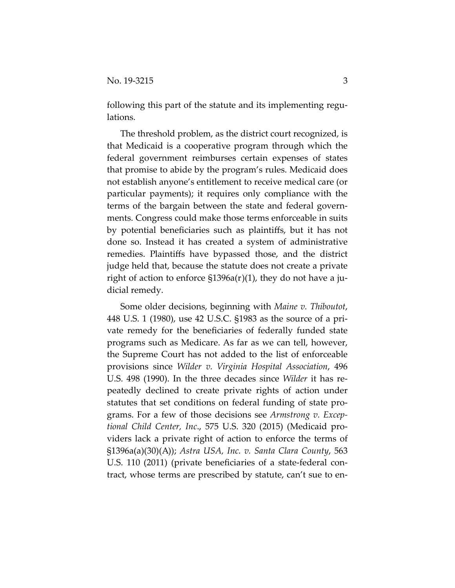following this part of the statute and its implementing regulations.

The threshold problem, as the district court recognized, is that Medicaid is a cooperative program through which the federal government reimburses certain expenses of states that promise to abide by the program's rules. Medicaid does not establish anyone's entitlement to receive medical care (or particular payments); it requires only compliance with the terms of the bargain between the state and federal governments. Congress could make those terms enforceable in suits by potential beneficiaries such as plaintiffs, but it has not done so. Instead it has created a system of administrative remedies. Plaintiffs have bypassed those, and the district judge held that, because the statute does not create a private right of action to enforce §1396a(r)(1), they do not have a judicial remedy.

Some older decisions, beginning with *Maine v. Thiboutot*, 448 U.S. 1 (1980), use 42 U.S.C. §1983 as the source of a private remedy for the beneficiaries of federally funded state programs such as Medicare. As far as we can tell, however, the Supreme Court has not added to the list of enforceable provisions since *Wilder v. Virginia Hospital Association*, 496 U.S. 498 (1990). In the three decades since *Wilder* it has repeatedly declined to create private rights of action under statutes that set conditions on federal funding of state programs. For a few of those decisions see *Armstrong v. Exceptional Child Center, Inc*., 575 U.S. 320 (2015) (Medicaid providers lack a private right of action to enforce the terms of §1396a(a)(30)(A)); *Astra USA, Inc. v. Santa Clara County*, 563 U.S. 110 (2011) (private beneficiaries of a state-federal contract, whose terms are prescribed by statute, can't sue to en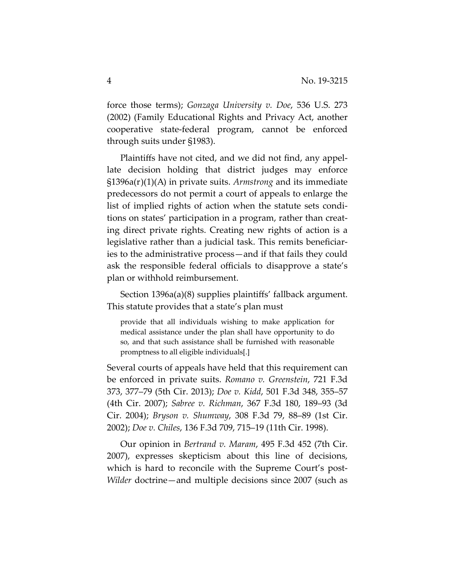force those terms); *Gonzaga University v. Doe*, 536 U.S. 273 (2002) (Family Educational Rights and Privacy Act, another cooperative state-federal program, cannot be enforced through suits under §1983).

Plaintiffs have not cited, and we did not find, any appellate decision holding that district judges may enforce §1396a(r)(1)(A) in private suits. *Armstrong* and its immediate predecessors do not permit a court of appeals to enlarge the list of implied rights of action when the statute sets conditions on states' participation in a program, rather than creating direct private rights. Creating new rights of action is a legislative rather than a judicial task. This remits beneficiaries to the administrative process—and if that fails they could ask the responsible federal officials to disapprove a state's plan or withhold reimbursement.

Section 1396a(a)(8) supplies plaintiffs' fallback argument. This statute provides that a state's plan must

provide that all individuals wishing to make application for medical assistance under the plan shall have opportunity to do so, and that such assistance shall be furnished with reasonable promptness to all eligible individuals[.]

Several courts of appeals have held that this requirement can be enforced in private suits. *Romano v. Greenstein*, 721 F.3d 373, 377–79 (5th Cir. 2013); *Doe v. Kidd*, 501 F.3d 348, 355–57 (4th Cir. 2007); *Sabree v. Richman*, 367 F.3d 180, 189–93 (3d Cir. 2004); *Bryson v. Shumway*, 308 F.3d 79, 88–89 (1st Cir. 2002); *Doe v. Chiles*, 136 F.3d 709, 715–19 (11th Cir. 1998).

Our opinion in *Bertrand v. Maram*, 495 F.3d 452 (7th Cir. 2007), expresses skepticism about this line of decisions, which is hard to reconcile with the Supreme Court's post-*Wilder* doctrine—and multiple decisions since 2007 (such as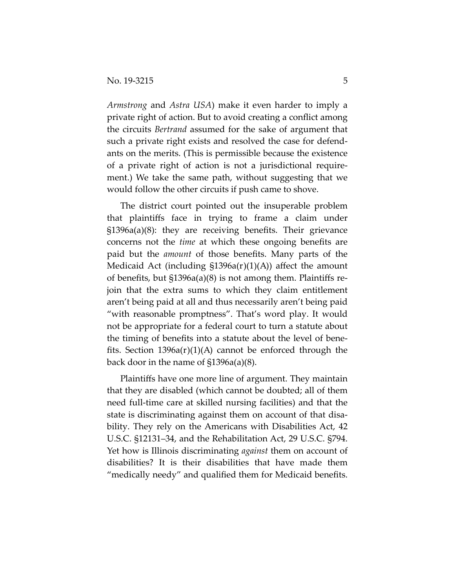*Armstrong* and *Astra USA*) make it even harder to imply a private right of action. But to avoid creating a conflict among the circuits *Bertrand* assumed for the sake of argument that such a private right exists and resolved the case for defendants on the merits. (This is permissible because the existence of a private right of action is not a jurisdictional requirement.) We take the same path, without suggesting that we would follow the other circuits if push came to shove.

The district court pointed out the insuperable problem that plaintiffs face in trying to frame a claim under §1396a(a)(8): they are receiving benefits. Their grievance concerns not the *time* at which these ongoing benefits are paid but the *amount* of those benefits. Many parts of the Medicaid Act (including §1396a(r)(1)(A)) affect the amount of benefits, but §1396a(a)(8) is not among them. Plaintiffs rejoin that the extra sums to which they claim entitlement aren't being paid at all and thus necessarily aren't being paid "with reasonable promptness". That's word play. It would not be appropriate for a federal court to turn a statute about the timing of benefits into a statute about the level of benefits. Section 1396a(r)(1)(A) cannot be enforced through the back door in the name of §1396a(a)(8).

Plaintiffs have one more line of argument. They maintain that they are disabled (which cannot be doubted; all of them need full-time care at skilled nursing facilities) and that the state is discriminating against them on account of that disability. They rely on the Americans with Disabilities Act, 42 U.S.C. §12131–34, and the Rehabilitation Act, 29 U.S.C. §794. Yet how is Illinois discriminating *against* them on account of disabilities? It is their disabilities that have made them "medically needy" and qualified them for Medicaid benefits.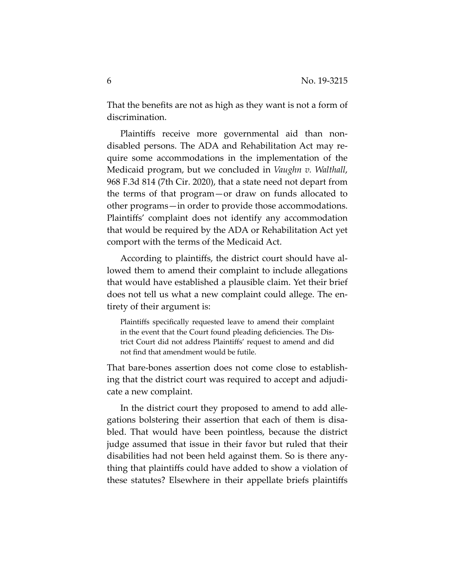That the benefits are not as high as they want is not a form of discrimination.

Plaintiffs receive more governmental aid than nondisabled persons. The ADA and Rehabilitation Act may require some accommodations in the implementation of the Medicaid program, but we concluded in *Vaughn v. Walthall*, 968 F.3d 814 (7th Cir. 2020), that a state need not depart from the terms of that program—or draw on funds allocated to other programs—in order to provide those accommodations. Plaintiffs' complaint does not identify any accommodation that would be required by the ADA or Rehabilitation Act yet comport with the terms of the Medicaid Act.

According to plaintiffs, the district court should have allowed them to amend their complaint to include allegations that would have established a plausible claim. Yet their brief does not tell us what a new complaint could allege. The entirety of their argument is:

Plaintiffs specifically requested leave to amend their complaint in the event that the Court found pleading deficiencies. The District Court did not address Plaintiffs' request to amend and did not find that amendment would be futile.

That bare-bones assertion does not come close to establishing that the district court was required to accept and adjudicate a new complaint.

In the district court they proposed to amend to add allegations bolstering their assertion that each of them is disabled. That would have been pointless, because the district judge assumed that issue in their favor but ruled that their disabilities had not been held against them. So is there anything that plaintiffs could have added to show a violation of these statutes? Elsewhere in their appellate briefs plaintiffs